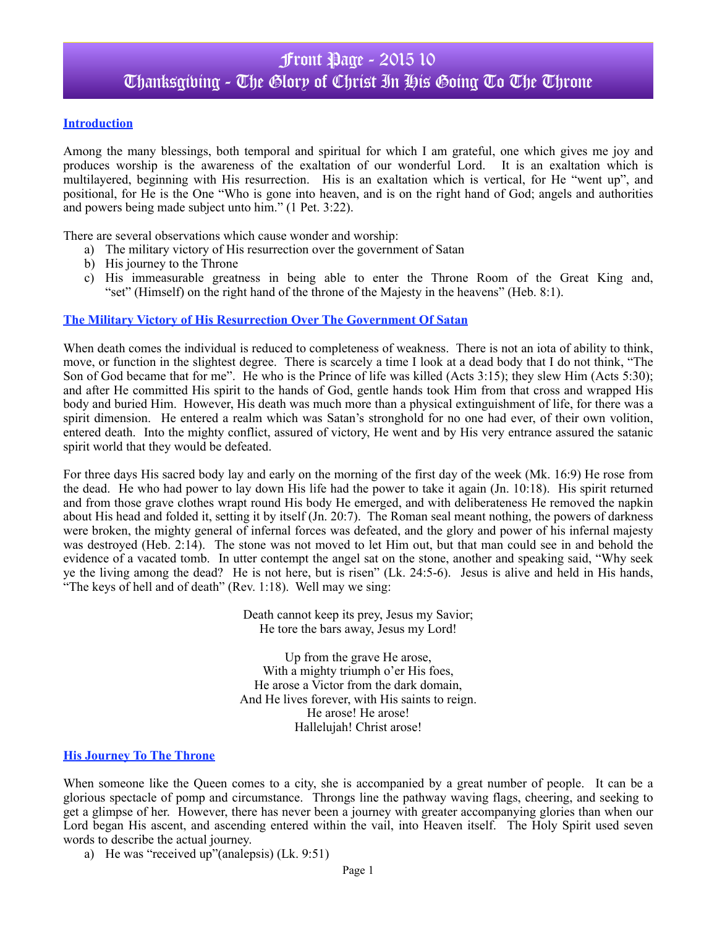### **Introduction**

Among the many blessings, both temporal and spiritual for which I am grateful, one which gives me joy and produces worship is the awareness of the exaltation of our wonderful Lord. It is an exaltation which is multilayered, beginning with His resurrection. His is an exaltation which is vertical, for He "went up", and positional, for He is the One "Who is gone into heaven, and is on the right hand of God; angels and authorities and powers being made subject unto him." (1 Pet. 3:22).

There are several observations which cause wonder and worship:

- a) The military victory of His resurrection over the government of Satan
- b) His journey to the Throne
- c) His immeasurable greatness in being able to enter the Throne Room of the Great King and, "set" (Himself) on the right hand of the throne of the Majesty in the heavens" (Heb. 8:1).

## **The Military Victory of His Resurrection Over The Government Of Satan**

When death comes the individual is reduced to completeness of weakness. There is not an iota of ability to think, move, or function in the slightest degree. There is scarcely a time I look at a dead body that I do not think, "The Son of God became that for me". He who is the Prince of life was killed (Acts 3:15); they slew Him (Acts 5:30); and after He committed His spirit to the hands of God, gentle hands took Him from that cross and wrapped His body and buried Him. However, His death was much more than a physical extinguishment of life, for there was a spirit dimension. He entered a realm which was Satan's stronghold for no one had ever, of their own volition, entered death. Into the mighty conflict, assured of victory, He went and by His very entrance assured the satanic spirit world that they would be defeated.

For three days His sacred body lay and early on the morning of the first day of the week (Mk. 16:9) He rose from the dead. He who had power to lay down His life had the power to take it again (Jn. 10:18). His spirit returned and from those grave clothes wrapt round His body He emerged, and with deliberateness He removed the napkin about His head and folded it, setting it by itself (Jn. 20:7). The Roman seal meant nothing, the powers of darkness were broken, the mighty general of infernal forces was defeated, and the glory and power of his infernal majesty was destroyed (Heb. 2:14). The stone was not moved to let Him out, but that man could see in and behold the evidence of a vacated tomb. In utter contempt the angel sat on the stone, another and speaking said, "Why seek ye the living among the dead? He is not here, but is risen" (Lk. 24:5-6). Jesus is alive and held in His hands, "The keys of hell and of death" (Rev.  $1:18$ ). Well may we sing:

> Death cannot keep its prey, Jesus my Savior; He tore the bars away, Jesus my Lord!

Up from the grave He arose, With a mighty triumph o'er His foes, He arose a Victor from the dark domain, And He lives forever, with His saints to reign. He arose! He arose! Hallelujah! Christ arose!

#### **His Journey To The Throne**

When someone like the Queen comes to a city, she is accompanied by a great number of people. It can be a glorious spectacle of pomp and circumstance. Throngs line the pathway waving flags, cheering, and seeking to get a glimpse of her. However, there has never been a journey with greater accompanying glories than when our Lord began His ascent, and ascending entered within the vail, into Heaven itself. The Holy Spirit used seven words to describe the actual journey.

a) He was "received up"(analepsis) (Lk. 9:51)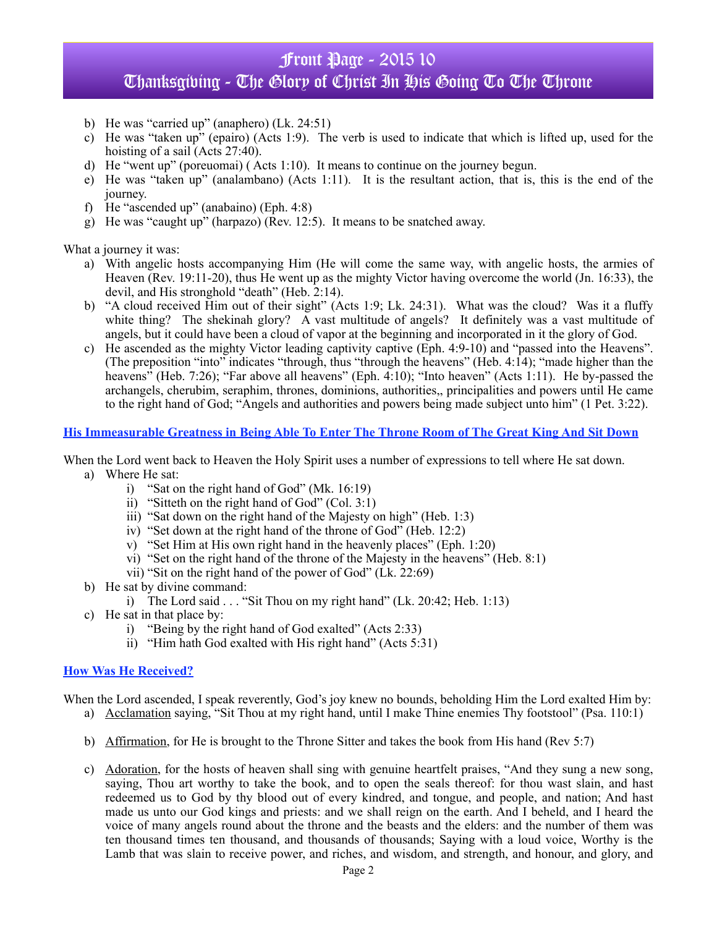# Front Page - 2015 10 Thanksgibing - The Glory of Christ In His Going To The Throne

- b) He was "carried up" (anaphero) (Lk. 24:51)
- c) He was "taken up" (epairo) (Acts 1:9). The verb is used to indicate that which is lifted up, used for the hoisting of a sail (Acts 27:40).
- d) He "went up" (poreuomai) ( Acts 1:10). It means to continue on the journey begun.
- e) He was "taken up" (analambano) (Acts 1:11). It is the resultant action, that is, this is the end of the journey.
- f) He "ascended up" (anabaino) (Eph. 4:8)
- g) He was "caught up" (harpazo) (Rev. 12:5). It means to be snatched away.

What a journey it was:

- a) With angelic hosts accompanying Him (He will come the same way, with angelic hosts, the armies of Heaven (Rev. 19:11-20), thus He went up as the mighty Victor having overcome the world (Jn. 16:33), the devil, and His stronghold "death" (Heb. 2:14).
- b) "A cloud received Him out of their sight" (Acts 1:9; Lk. 24:31). What was the cloud? Was it a fluffy white thing? The shekinah glory? A vast multitude of angels? It definitely was a vast multitude of angels, but it could have been a cloud of vapor at the beginning and incorporated in it the glory of God.
- c) He ascended as the mighty Victor leading captivity captive (Eph. 4:9-10) and "passed into the Heavens". (The preposition "into" indicates "through, thus "through the heavens" (Heb. 4:14); "made higher than the heavens<sup>"</sup> (Heb. 7:26); "Far above all heavens" (Eph. 4:10); "Into heaven" (Acts 1:11). He by-passed the archangels, cherubim, seraphim, thrones, dominions, authorities,, principalities and powers until He came to the right hand of God; "Angels and authorities and powers being made subject unto him" (1 Pet. 3:22).

### **His Immeasurable Greatness in Being Able To Enter The Throne Room of The Great King And Sit Down**

When the Lord went back to Heaven the Holy Spirit uses a number of expressions to tell where He sat down.

- a) Where He sat:
	- i) "Sat on the right hand of God" (Mk. 16:19)
	- ii) "Sitteth on the right hand of God" (Col. 3:1)
	- iii) "Sat down on the right hand of the Majesty on high" (Heb. 1:3)
	- iv) "Set down at the right hand of the throne of God" (Heb. 12:2)
	- v) "Set Him at His own right hand in the heavenly places" (Eph. 1:20)
	- vi) "Set on the right hand of the throne of the Majesty in the heavens" (Heb. 8:1)
	- vii) "Sit on the right hand of the power of God" (Lk. 22:69)
- b) He sat by divine command:
	- i) The Lord said  $\ldots$  "Sit Thou on my right hand" (Lk. 20:42; Heb. 1:13)
- c) He sat in that place by:
	- i) "Being by the right hand of God exalted" (Acts 2:33)
	- ii) "Him hath God exalted with His right hand" (Acts 5:31)

#### **How Was He Received?**

When the Lord ascended, I speak reverently, God's joy knew no bounds, beholding Him the Lord exalted Him by:

- a) Acclamation saying, "Sit Thou at my right hand, until I make Thine enemies Thy footstool" (Psa. 110:1)
- b) Affirmation, for He is brought to the Throne Sitter and takes the book from His hand (Rev 5:7)
- c) Adoration, for the hosts of heaven shall sing with genuine heartfelt praises, "And they sung a new song, saying, Thou art worthy to take the book, and to open the seals thereof: for thou wast slain, and hast redeemed us to God by thy blood out of every kindred, and tongue, and people, and nation; And hast made us unto our God kings and priests: and we shall reign on the earth. And I beheld, and I heard the voice of many angels round about the throne and the beasts and the elders: and the number of them was ten thousand times ten thousand, and thousands of thousands; Saying with a loud voice, Worthy is the Lamb that was slain to receive power, and riches, and wisdom, and strength, and honour, and glory, and